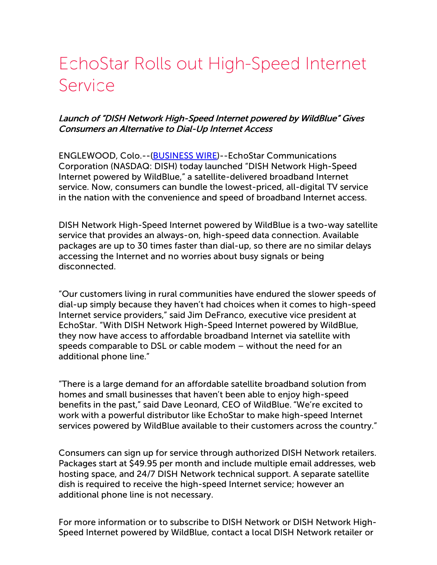## EchoStar Rolls out High-Speed Internet Service

## Launch of "DISH Network High-Speed Internet powered by WildBlue" Gives Consumers an Alternative to Dial-Up Internet Access

ENGLEWOOD, Colo.--[\(BUSINESS](http://www.businesswire.com/) WIRE)--EchoStar Communications Corporation (NASDAQ: DISH) today launched "DISH Network High-Speed Internet powered by WildBlue," a satellite-delivered broadband Internet service. Now, consumers can bundle the lowest-priced, all-digital TV service in the nation with the convenience and speed of broadband Internet access.

DISH Network High-Speed Internet powered by WildBlue is a two-way satellite service that provides an always-on, high-speed data connection. Available packages are up to 30 times faster than dial-up, so there are no similar delays accessing the Internet and no worries about busy signals or being disconnected.

"Our customers living in rural communities have endured the slower speeds of dial-up simply because they haven't had choices when it comes to high-speed Internet service providers," said Jim DeFranco, executive vice president at EchoStar. "With DISH Network High-Speed Internet powered by WildBlue, they now have access to affordable broadband Internet via satellite with speeds comparable to DSL or cable modem – without the need for an additional phone line."

"There is a large demand for an affordable satellite broadband solution from homes and small businesses that haven't been able to enjoy high-speed benefits in the past," said Dave Leonard, CEO of WildBlue. "We're excited to work with a powerful distributor like EchoStar to make high-speed Internet services powered by WildBlue available to their customers across the country."

Consumers can sign up for service through authorized DISH Network retailers. Packages start at \$49.95 per month and include multiple email addresses, web hosting space, and 24/7 DISH Network technical support. A separate satellite dish is required to receive the high-speed Internet service; however an additional phone line is not necessary.

For more information or to subscribe to DISH Network or DISH Network High-Speed Internet powered by WildBlue, contact a local DISH Network retailer or